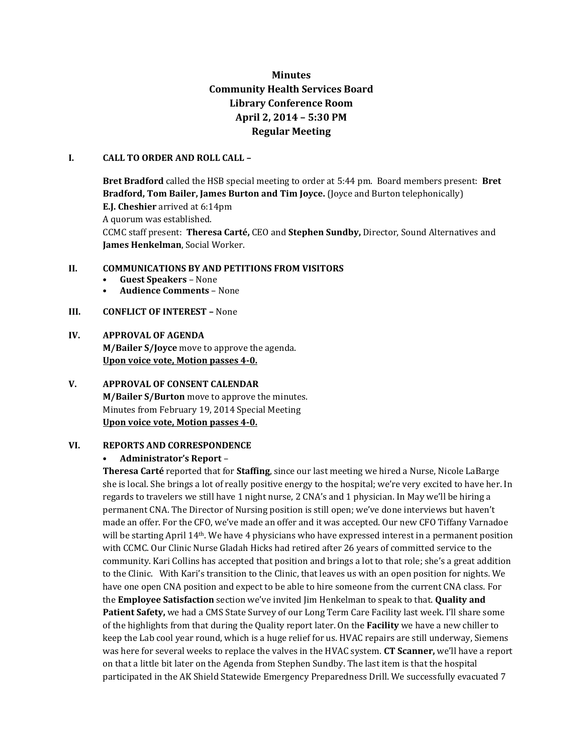# **Minutes Community Health Services Board Library Conference Room April 2, 2014 – 5:30 PM Regular Meeting**

## **I. CALL TO ORDER AND ROLL CALL –**

**Bret Bradford** called the HSB special meeting to order at 5:44 pm. Board members present: **Bret Bradford, Tom Bailer, James Burton and Tim Joyce.** (Joyce and Burton telephonically) **E.J. Cheshier** arrived at 6:14pm A quorum was established. CCMC staff present: **Theresa Carté,** CEO and **Stephen Sundby,** Director, Sound Alternatives and **James Henkelman**, Social Worker.

### **II. COMMUNICATIONS BY AND PETITIONS FROM VISITORS**

- **Guest Speakers**  None
- **Audience Comments**  None

#### **III. CONFLICT OF INTEREST -** None

# **IV. APPROVAL OF AGENDA**

**M/Bailer S/Joyce** move to approve the agenda. **Upon voice vote, Motion passes 4-0.** 

# **V. APPROVAL OF CONSENT CALENDAR**

**M/Bailer S/Burton** move to approve the minutes. Minutes from February 19, 2014 Special Meeting **Upon voice vote, Motion passes 4-0.**

# **VI. REPORTS AND CORRESPONDENCE**

#### • **Administrator's Report** –

**Theresa Carté** reported that for **Staffing**, since our last meeting we hired a Nurse, Nicole LaBarge she is local. She brings a lot of really positive energy to the hospital; we're very excited to have her. In regards to travelers we still have 1 night nurse, 2 CNA's and 1 physician. In May we'll be hiring a permanent CNA. The Director of Nursing position is still open; we've done interviews but haven't made an offer. For the CFO, we've made an offer and it was accepted. Our new CFO Tiffany Varnadoe will be starting April 14<sup>th</sup>. We have 4 physicians who have expressed interest in a permanent position with CCMC. Our Clinic Nurse Gladah Hicks had retired after 26 years of committed service to the community. Kari Collins has accepted that position and brings a lot to that role; she's a great addition to the Clinic. With Kari's transition to the Clinic, that leaves us with an open position for nights. We have one open CNA position and expect to be able to hire someone from the current CNA class. For the **Employee Satisfaction** section we've invited Jim Henkelman to speak to that. **Quality and**  Patient Safety, we had a CMS State Survey of our Long Term Care Facility last week. I'll share some of the highlights from that during the Quality report later. On the **Facility** we have a new chiller to keep the Lab cool year round, which is a huge relief for us. HVAC repairs are still underway, Siemens was here for several weeks to replace the valves in the HVAC system. **CT Scanner,** we'll have a report on that a little bit later on the Agenda from Stephen Sundby. The last item is that the hospital participated in the AK Shield Statewide Emergency Preparedness Drill. We successfully evacuated 7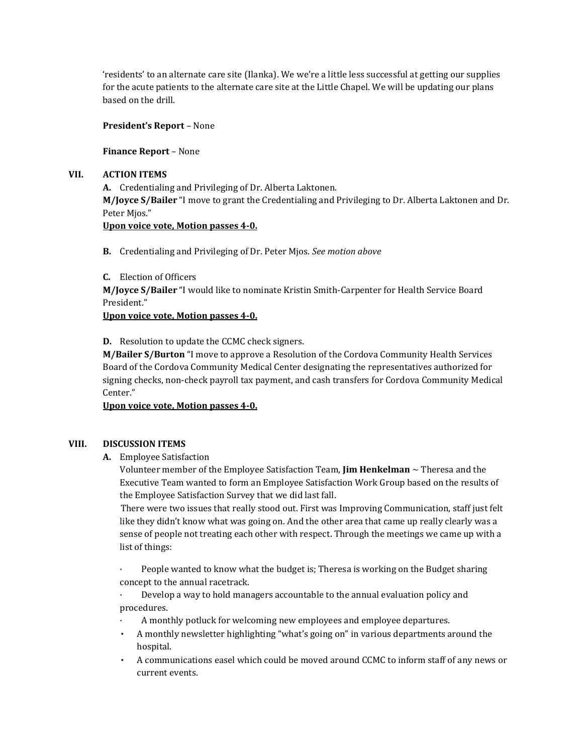'residents' to an alternate care site (Ilanka). We we're a little less successful at getting our supplies for the acute patients to the alternate care site at the Little Chapel. We will be updating our plans based on the drill.

## **President's Report** – None

**Finance Report** – None

### **VII. ACTION ITEMS**

**A.** Credentialing and Privileging of Dr. Alberta Laktonen.

**M/Joyce S/Bailer** "I move to grant the Credentialing and Privileging to Dr. Alberta Laktonen and Dr. Peter Mjos."

### **Upon voice vote, Motion passes 4-0.**

- **B.** Credentialing and Privileging of Dr. Peter Mjos. *See motion above*
- **C.** Election of Officers

**M/Joyce S/Bailer** "I would like to nominate Kristin Smith-Carpenter for Health Service Board President."

### **Upon voice vote, Motion passes 4-0.**

**D.** Resolution to update the CCMC check signers.

**M/Bailer S/Burton** "I move to approve a Resolution of the Cordova Community Health Services Board of the Cordova Community Medical Center designating the representatives authorized for signing checks, non-check payroll tax payment, and cash transfers for Cordova Community Medical Center."

# **Upon voice vote, Motion passes 4-0.**

# **VIII. DISCUSSION ITEMS**

**A.** Employee Satisfaction

Volunteer member of the Employee Satisfaction Team, **Jim Henkelman** ~ Theresa and the Executive Team wanted to form an Employee Satisfaction Work Group based on the results of the Employee Satisfaction Survey that we did last fall.

There were two issues that really stood out. First was Improving Communication, staff just felt like they didn't know what was going on. And the other area that came up really clearly was a sense of people not treating each other with respect. Through the meetings we came up with a list of things:

People wanted to know what the budget is; Theresa is working on the Budget sharing concept to the annual racetrack.

· Develop a way to hold managers accountable to the annual evaluation policy and procedures.

- · A monthly potluck for welcoming new employees and employee departures.
- A monthly newsletter highlighting "what's going on" in various departments around the hospital.
- A communications easel which could be moved around CCMC to inform staff of any news or  $\mathbf{r}$  . current events.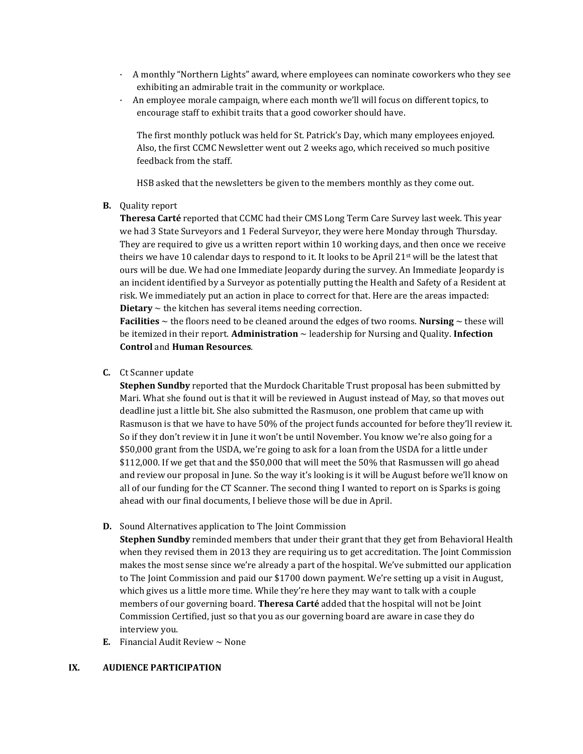- · A monthly "Northern Lights" award, where employees can nominate coworkers who they see exhibiting an admirable trait in the community or workplace.
- · An employee morale campaign, where each month we'll will focus on different topics, to encourage staff to exhibit traits that a good coworker should have.

The first monthly potluck was held for St. Patrick's Day, which many employees enjoyed. Also, the first CCMC Newsletter went out 2 weeks ago, which received so much positive feedback from the staff.

HSB asked that the newsletters be given to the members monthly as they come out.

#### **B.** Quality report

**Theresa Carté** reported that CCMC had their CMS Long Term Care Survey last week. This year we had 3 State Surveyors and 1 Federal Surveyor, they were here Monday through Thursday. They are required to give us a written report within 10 working days, and then once we receive theirs we have 10 calendar days to respond to it. It looks to be April  $21<sup>st</sup>$  will be the latest that ours will be due. We had one Immediate Jeopardy during the survey. An Immediate Jeopardy is an incident identified by a Surveyor as potentially putting the Health and Safety of a Resident at risk. We immediately put an action in place to correct for that. Here are the areas impacted: **Dietary**  $\sim$  the kitchen has several items needing correction.

**Facilities**  $\sim$  the floors need to be cleaned around the edges of two rooms. **Nursing**  $\sim$  these will be itemized in their report. **Administration** ~ leadership for Nursing and Quality. **Infection Control** and **Human Resources**.

### **C.** Ct Scanner update

**Stephen Sundby** reported that the Murdock Charitable Trust proposal has been submitted by Mari. What she found out is that it will be reviewed in August instead of May, so that moves out deadline just a little bit. She also submitted the Rasmuson, one problem that came up with Rasmuson is that we have to have 50% of the project funds accounted for before they'll review it. So if they don't review it in June it won't be until November. You know we're also going for a \$50,000 grant from the USDA, we're going to ask for a loan from the USDA for a little under \$112,000. If we get that and the \$50,000 that will meet the 50% that Rasmussen will go ahead and review our proposal in June. So the way it's looking is it will be August before we'll know on all of our funding for the CT Scanner. The second thing I wanted to report on is Sparks is going ahead with our final documents, I believe those will be due in April.

**D.** Sound Alternatives application to The Joint Commission

**Stephen Sundby** reminded members that under their grant that they get from Behavioral Health when they revised them in 2013 they are requiring us to get accreditation. The Joint Commission makes the most sense since we're already a part of the hospital. We've submitted our application to The Joint Commission and paid our \$1700 down payment. We're setting up a visit in August, which gives us a little more time. While they're here they may want to talk with a couple members of our governing board. **Theresa Carté** added that the hospital will not be Joint Commission Certified, just so that you as our governing board are aware in case they do interview you.

**E.** Financial Audit Review  $\sim$  None

#### **IX. AUDIENCE PARTICIPATION**